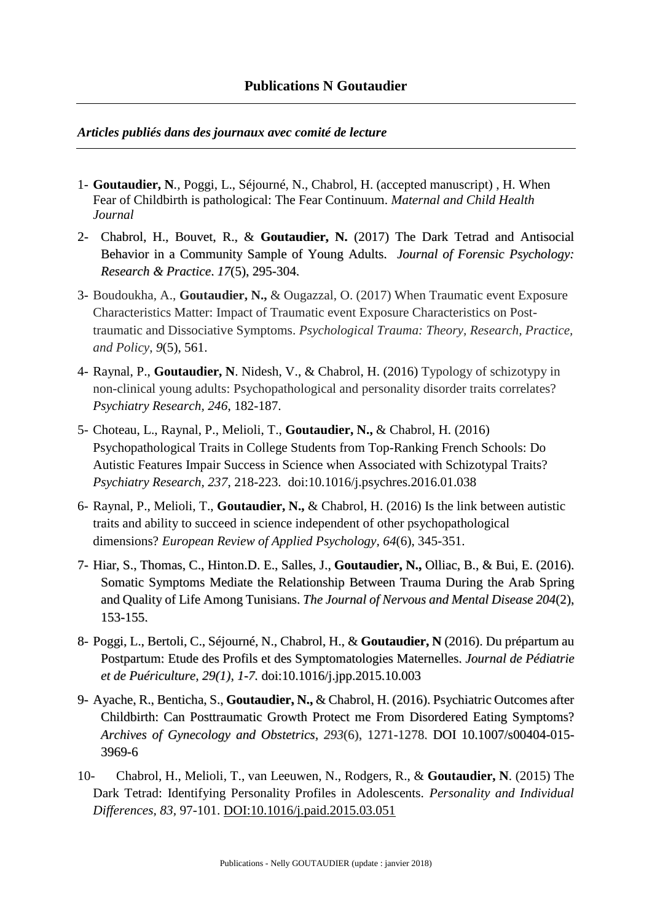## *Articles publiés dans des journaux avec comité de lecture*

- 1- **Goutaudier, N***.,* Poggi, L., Séjourné, N., Chabrol, H. (accepted manuscript) , H. When Fear of Childbirth is pathological: The Fear Continuum. *Maternal and Child Health Journal*
- 2- Chabrol, H., Bouvet, R., & **Goutaudier, N.** (2017) The Dark Tetrad and Antisocial Behavior in a Community Sample of Young Adults. *Journal of Forensic Psychology: Research & Practice*. *17*(5), 295-304.
- 3- Boudoukha, A., **Goutaudier, N.,** & Ougazzal, O. (2017) When Traumatic event Exposure Characteristics Matter: Impact of Traumatic event Exposure Characteristics on Posttraumatic and Dissociative Symptoms. *Psychological Trauma: Theory, Research, Practice, and Policy*, *9*(5), 561.
- 4- Raynal, P., **Goutaudier, N**. Nidesh, V., & Chabrol, H. (2016) Typology of schizotypy in non-clinical young adults: Psychopathological and personality disorder traits correlates? *Psychiatry Research, 246*, 182-187.
- 5- Choteau, L., Raynal, P., Melioli, T., **Goutaudier, N.,** & Chabrol, H. (2016) Psychopathological Traits in College Students from Top-Ranking French Schools: Do Autistic Features Impair Success in Science when Associated with Schizotypal Traits? *Psychiatry Research, 237*, 218-223. [doi:10.1016/j.psychres.2016.01.038](http://dx.doi.org/10.1016/j.psychres.2016.01.038)
- 6- Raynal, P., Melioli, T., **Goutaudier, N.,** & Chabrol, H. (2016) [Is the link between autistic](https://www.researchgate.net/publication/304537363_Is_the_link_between_autistic_traits_and_ability_to_succeed_in_science_independent_of_other_psychopathological_dimensions?ev=prf_pub)  [traits and ability to succeed in science independent of other psychopathological](https://www.researchgate.net/publication/304537363_Is_the_link_between_autistic_traits_and_ability_to_succeed_in_science_independent_of_other_psychopathological_dimensions?ev=prf_pub)  [dimensions?](https://www.researchgate.net/publication/304537363_Is_the_link_between_autistic_traits_and_ability_to_succeed_in_science_independent_of_other_psychopathological_dimensions?ev=prf_pub) *European Review of Applied Psychology, 64*(6), 345-351.
- 7- Hiar, S., Thomas, C., Hinton.D. E., Salles, J., **Goutaudier, N.,** Olliac, B., & Bui, E. (2016). Somatic Symptoms Mediate the Relationship Between Trauma During the Arab Spring and Quality of Life Among Tunisians. *The Journal of [Nervous](https://www.google.fr/url?sa=t&rct=j&q=&esrc=s&source=web&cd=1&cad=rja&uact=8&ved=0CCQQFjAAahUKEwjw1s2kkbXIAhVCORoKHdgND-w&url=http%3A%2F%2Fjournals.lww.com%2Fjonmd%2FPages%2Fdefault.aspx&usg=AFQjCNHq0ydop_kl_nxMIYADJ8f1jtB_3Q&sig2=0S7fzI0c3FRDxEhi3GH6XA) and Mental Disease 204*(2), 153-155.
- 8- Poggi, L., Bertoli, C., Séjourné, N., Chabrol, H., & **Goutaudier, N** (2016). Du prépartum au Postpartum: Etude des Profils et des Symptomatologies Maternelles. *Journal de Pédiatrie et de Puériculture, 29(1), 1-7.* [doi:10.1016/j.jpp.2015.10.003](http://dx.doi.org/10.1016/j.jpp.2015.10.003)
- 9- Ayache, R., Benticha, S., **Goutaudier, N.,** & Chabrol, H. (2016). Psychiatric Outcomes after Childbirth: Can Posttraumatic Growth Protect me From Disordered Eating Symptoms? *Archives of Gynecology and Obstetrics, 293*(6), 1271-1278. DOI 10.1007/s00404-015- 3969-6
- 10- Chabrol, H., Melioli, T., van Leeuwen, N., Rodgers, R., & **Goutaudier, N**. (2015) The Dark Tetrad: Identifying Personality Profiles in Adolescents. *Personality and Individual Differences, 83,* 97-101. [DOI:10.1016/j.paid.2015.03.051](http://dx.doi.org/10.1016/j.paid.2015.03.051)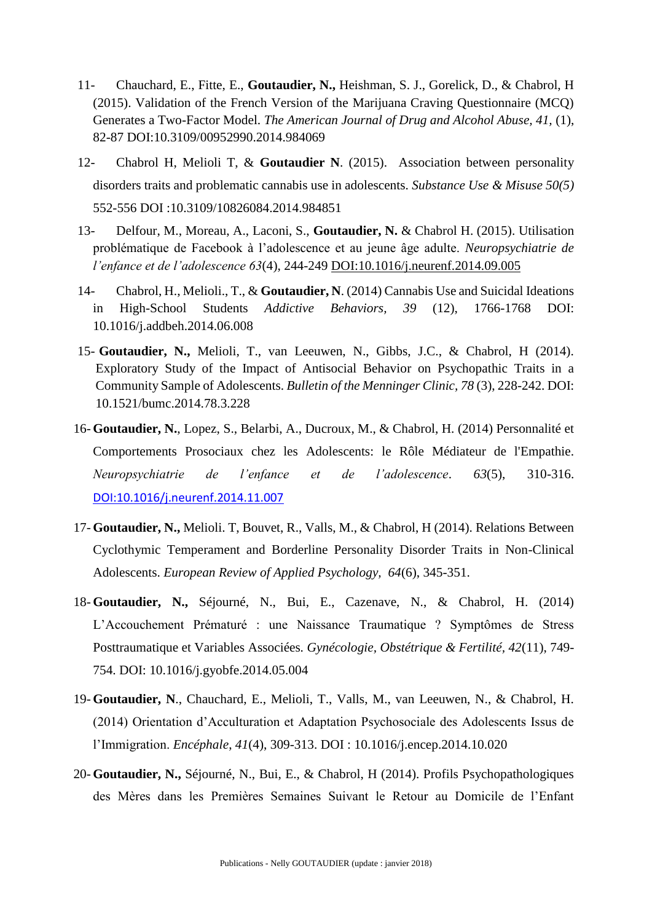- 11- Chauchard, E., Fitte, E., **Goutaudier, N.,** Heishman, S. J., Gorelick, D., & Chabrol, H (2015). Validation of the French Version of the Marijuana Craving Questionnaire (MCQ) Generates a Two-Factor Model. *The American Journal of Drug and Alcohol Abuse, 41,* (1), 82-87 DOI:10.3109/00952990.2014.984069
- 12- Chabrol H, Melioli T, & **Goutaudier N**. (2015). Association between personality disorders traits and problematic cannabis use in adolescents. *Substance Use & Misuse 50(5)* 552-556 DOI :10.3109/10826084.2014.984851
- 13- Delfour, M., Moreau, A., Laconi, S., **Goutaudier, N.** & Chabrol H. (2015). Utilisation problématique de Facebook à l'adolescence et au jeune âge adulte. *Neuropsychiatrie de l'enfance et de l'adolescence 63*(4), 244-249 [DOI:10.1016/j.neurenf.2014.09.005](http://dx.doi.org/10.1016/j.neurenf.2014.09.005)
- 14- Chabrol, H., Melioli., T., & **Goutaudier, N**. (2014) Cannabis Use and Suicidal Ideations in High-School Students *Addictive Behaviors, 39* (12), 1766-1768 DOI: 10.1016/j.addbeh.2014.06.008
- 15- **Goutaudier, N.,** Melioli, T., van Leeuwen, N., Gibbs, J.C., & Chabrol, H (2014). Exploratory Study of the Impact of Antisocial Behavior on Psychopathic Traits in a Community Sample of Adolescents. *Bulletin of the Menninger Clinic, 78* (3), 228-242. DOI: 10.1521/bumc.2014.78.3.228
- 16- **Goutaudier, N.**, Lopez, S., Belarbi, A., Ducroux, M., & Chabrol, H. (2014) Personnalité et Comportements Prosociaux chez les Adolescents: le Rôle Médiateur de l'Empathie. *Neuropsychiatrie de l'enfance et de l'adolescence*. *63*(5), 310-316. [DOI:10.1016/j.neurenf.2014.11.007](http://dx.doi.org/10.1016/j.neurenf.2014.11.007)
- 17- **Goutaudier, N.,** Melioli. T, Bouvet, R., Valls, M., & Chabrol, H (2014). Relations Between Cyclothymic Temperament and Borderline Personality Disorder Traits in Non-Clinical Adolescents. *European Review of Applied Psychology, 64*(6), 345-351.
- 18- **Goutaudier, N.,** Séjourné, N., Bui, E., Cazenave, N., & Chabrol, H. (2014) L'Accouchement Prématuré : une Naissance Traumatique ? Symptômes de Stress Posttraumatique et Variables Associées*. Gynécologie, Obstétrique & Fertilité, 42*(11), 749- 754. DOI: 10.1016/j.gyobfe.2014.05.004
- 19- **Goutaudier, N**., Chauchard, E., Melioli, T., Valls, M., van Leeuwen, N., & Chabrol, H. (2014) Orientation d'Acculturation et Adaptation Psychosociale des Adolescents Issus de l'Immigration. *Encéphale*, *41*(4), 309-313. DOI [: 10.1016/j.encep.2014.10.020](http://dx.doi.org/10.1016/j.encep.2014.10.020)
- 20- **Goutaudier, N.,** Séjourné, N., Bui, E., & Chabrol, H (2014). Profils Psychopathologiques des Mères dans les Premières Semaines Suivant le Retour au Domicile de l'Enfant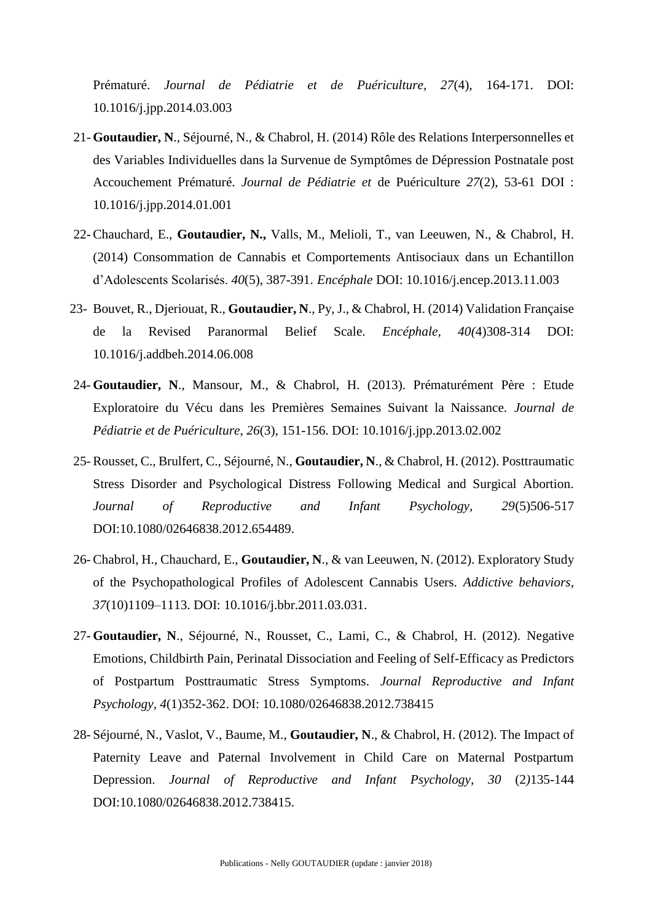Prématuré. *Journal de Pédiatrie et de Puériculture, 27*(4), 164-171. DOI: [10.1016/j.jpp.2014.03.003](http://dx.doi.org/10.1016/j.jpp.2014.03.003)

- 21- **Goutaudier, N**., Séjourné, N., & Chabrol, H. (2014) Rôle des Relations Interpersonnelles et des Variables Individuelles dans la Survenue de Symptômes de Dépression Postnatale post Accouchement Prématuré. *Journal de Pédiatrie et* de Puériculture *27*(2), 53-61 DOI : 10.1016/j.jpp.2014.01.001
- 22-Chauchard, E., **Goutaudier, N.,** Valls, M., Melioli, T., van Leeuwen, N., & Chabrol, H. (2014) Consommation de Cannabis et Comportements Antisociaux dans un Echantillon d'Adolescents Scolarisés. *40*(5), 387-391. *Encéphale* DOI: 10.1016/j.encep.2013.11.003
- 23- Bouvet, R., Djeriouat, R., **Goutaudier, N**., Py, J., & Chabrol, H. (2014) Validation Française de la Revised Paranormal Belief Scale. *Encéphale, 40(*4)308-314 DOI: 10.1016/j.addbeh.2014.06.008
- 24- **Goutaudier, N**., Mansour, M., & Chabrol, H. (2013). Prématurément Père : Etude Exploratoire du Vécu dans les Premières Semaines Suivant la Naissance. *Journal de Pédiatrie et de Puériculture*, *26*(3), 151-156. DOI: 10.1016/j.jpp.2013.02.002
- 25- Rousset, C., Brulfert, C., Séjourné, N., **Goutaudier, N**., & Chabrol, H. (2012). Posttraumatic Stress Disorder and Psychological Distress Following Medical and Surgical Abortion. *Journal of Reproductive and Infant Psychology, 29*(5)506-517 DOI:10.1080/02646838.2012.654489.
- 26- Chabrol, H., Chauchard, E., **Goutaudier, N**., & van Leeuwen, N. (2012). Exploratory Study of the Psychopathological Profiles of Adolescent Cannabis Users. *Addictive behaviors, 37*(10)1109–1113. DOI: 10.1016/j.bbr.2011.03.031.
- 27- **Goutaudier, N**., Séjourné, N., Rousset, C., Lami, C., & Chabrol, H. (2012). Negative Emotions, Childbirth Pain, Perinatal Dissociation and Feeling of Self-Efficacy as Predictors of Postpartum Posttraumatic Stress Symptoms. *Journal Reproductive and Infant Psychology, 4*(1)352-362. DOI: 10.1080/02646838.2012.738415
- 28- Séjourné, N., Vaslot, V., Baume, M., **Goutaudier, N**., & Chabrol, H. (2012). The Impact of Paternity Leave and Paternal Involvement in Child Care on Maternal Postpartum Depression. *Journal of Reproductive and Infant Psychology, 30* (2*)*135-144 DOI:10.1080/02646838.2012.738415.